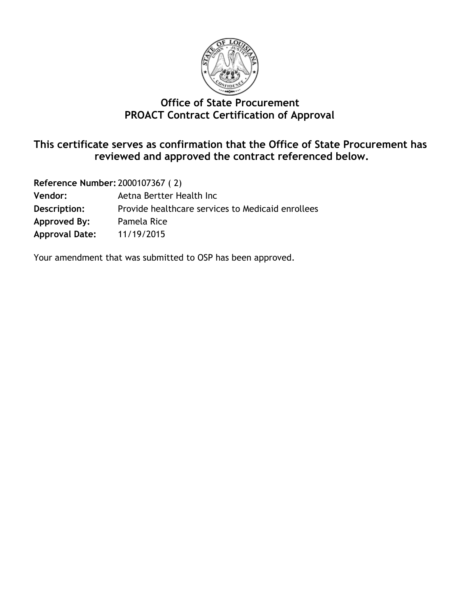

# **Office of State Procurement PROACT Contract Certification of Approval**

## **This certificate serves as confirmation that the Office of State Procurement has reviewed and approved the contract referenced below.**

**Reference Number:** 2000107367 ( 2) **Vendor:** Aetna Bertter Health Inc **Description:** Provide healthcare services to Medicaid enrollees **Approved By:** Pamela Rice **Approval Date:** 11/19/2015

Your amendment that was submitted to OSP has been approved.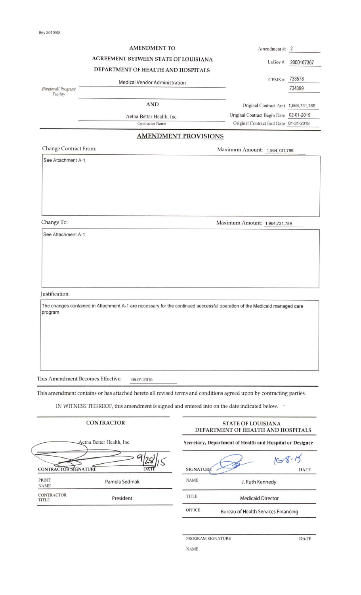|                                                     | <b>AMENDMENT TO</b>                                                                                                 |                          | Amendment #: 2                                                  |                     |
|-----------------------------------------------------|---------------------------------------------------------------------------------------------------------------------|--------------------------|-----------------------------------------------------------------|---------------------|
|                                                     | AGREEMENT BETWEEN STATE OF LOUISIANA                                                                                |                          |                                                                 | LaGov #: 2000107367 |
|                                                     | DEPARTMENT OF HEALTH AND HOSPITALS                                                                                  |                          |                                                                 |                     |
|                                                     | Medical Vendor Administration                                                                                       |                          | CFMS #: 733578                                                  |                     |
| (Regional/ Program/<br>Facility                     |                                                                                                                     |                          |                                                                 | 734399              |
|                                                     | <b>AND</b>                                                                                                          |                          | Original Contract Amt 1,964,731,789                             |                     |
|                                                     | Aetna Better Health, Inc.                                                                                           |                          | Original Contract Begin Date 02-01-2015                         |                     |
|                                                     | Contractor Name                                                                                                     |                          | Original Contract End Date 01-31-2018                           |                     |
|                                                     | <b>AMENDMENT PROVISIONS</b>                                                                                         |                          |                                                                 |                     |
| Change Contract From:                               |                                                                                                                     |                          | Maximum Amount: 1,964,731,789                                   |                     |
| See Attachment A-1.                                 |                                                                                                                     |                          |                                                                 |                     |
|                                                     |                                                                                                                     |                          |                                                                 |                     |
| Change To:                                          |                                                                                                                     |                          | Maximum Amount: 1,964,731,789                                   |                     |
| See Attachment A-1.                                 |                                                                                                                     |                          |                                                                 |                     |
|                                                     |                                                                                                                     |                          |                                                                 |                     |
| This Amendment Becomes Effective:                   | 06-01-2015                                                                                                          |                          |                                                                 |                     |
|                                                     | This amendment contains or has attached hereto all revised terms and conditions agreed upon by contracting parties. |                          |                                                                 |                     |
|                                                     | IN WITNESS THEREOF, this amendment is signed and entered into on the date indicated below.                          |                          |                                                                 |                     |
|                                                     | <b>CONTRACTOR</b>                                                                                                   |                          | <b>STATE OF LOUISIANA</b><br>DEPARTMENT OF HEALTH AND HOSPITALS |                     |
|                                                     | Aetna Better Health, Inc.                                                                                           |                          | Secretary, Department of Health and Hospital or Designee        |                     |
|                                                     |                                                                                                                     |                          |                                                                 | 168.15              |
| CONTRACTOR SIGNATURE<br><b>PRINT</b><br><b>NAME</b> | Pamela Sedmak                                                                                                       | SIGNATURE<br><b>NAME</b> | J. Ruth Kennedy                                                 | <b>DATE</b>         |
| CONTRACTOR<br>TITLE                                 | President                                                                                                           | <b>TITLE</b>             | <b>Medicaid Director</b>                                        |                     |

PROGRAM SIGNATURE DATE NAME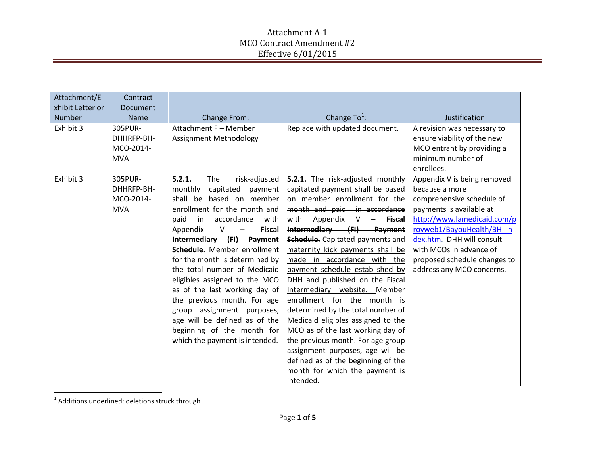| Attachment/E<br>xhibit Letter or | Contract<br>Document                             |                                                                                                                                                                                                                                                                                                                                                                                                                                                                                                                                                                                              |                                                                                                                                                                                                                                                                                                                                                                                                                                                                                                                                                                                                                                                                                                                                  |                                                                                                                                                                                                                                                                                         |
|----------------------------------|--------------------------------------------------|----------------------------------------------------------------------------------------------------------------------------------------------------------------------------------------------------------------------------------------------------------------------------------------------------------------------------------------------------------------------------------------------------------------------------------------------------------------------------------------------------------------------------------------------------------------------------------------------|----------------------------------------------------------------------------------------------------------------------------------------------------------------------------------------------------------------------------------------------------------------------------------------------------------------------------------------------------------------------------------------------------------------------------------------------------------------------------------------------------------------------------------------------------------------------------------------------------------------------------------------------------------------------------------------------------------------------------------|-----------------------------------------------------------------------------------------------------------------------------------------------------------------------------------------------------------------------------------------------------------------------------------------|
| <b>Number</b>                    | <b>Name</b>                                      | Change From:                                                                                                                                                                                                                                                                                                                                                                                                                                                                                                                                                                                 | Change $To^1$ :                                                                                                                                                                                                                                                                                                                                                                                                                                                                                                                                                                                                                                                                                                                  | Justification                                                                                                                                                                                                                                                                           |
| Exhibit 3                        | 305PUR-<br>DHHRFP-BH-<br>MCO-2014-<br><b>MVA</b> | Attachment F - Member<br>Assignment Methodology                                                                                                                                                                                                                                                                                                                                                                                                                                                                                                                                              | Replace with updated document.                                                                                                                                                                                                                                                                                                                                                                                                                                                                                                                                                                                                                                                                                                   | A revision was necessary to<br>ensure viability of the new<br>MCO entrant by providing a<br>minimum number of<br>enrollees.                                                                                                                                                             |
| Exhibit 3                        | 305PUR-<br>DHHRFP-BH-<br>MCO-2014-<br><b>MVA</b> | 5.2.1.<br>The<br>risk-adjusted<br>monthly<br>capitated<br>payment<br>shall be based on member<br>enrollment for the month and<br>accordance<br>paid<br>in<br>with<br>Appendix<br>$\vee$<br><b>Fiscal</b><br>$\qquad \qquad$<br>Intermediary (FI)<br>Payment<br>Schedule. Member enrollment<br>for the month is determined by<br>the total number of Medicaid<br>eligibles assigned to the MCO<br>as of the last working day of<br>the previous month. For age<br>group assignment purposes,<br>age will be defined as of the<br>beginning of the month for<br>which the payment is intended. | 5.2.1. The risk-adjusted monthly<br>capitated payment shall be based<br>on member enrollment for the<br>month and paid in accordance<br>with Appendix $V$ - Fiscal<br>Intermediary (FI) Payment<br><b>Schedule.</b> Capitated payments and<br>maternity kick payments shall be<br>made in accordance with the<br>payment schedule established by<br>DHH and published on the Fiscal<br>Intermediary website. Member<br>enrollment for the month is<br>determined by the total number of<br>Medicaid eligibles assigned to the<br>MCO as of the last working day of<br>the previous month. For age group<br>assignment purposes, age will be<br>defined as of the beginning of the<br>month for which the payment is<br>intended. | Appendix V is being removed<br>because a more<br>comprehensive schedule of<br>payments is available at<br>http://www.lamedicaid.com/p<br>rovweb1/BayouHealth/BH In<br>dex.htm. DHH will consult<br>with MCOs in advance of<br>proposed schedule changes to<br>address any MCO concerns. |

1 Additions underlined; deletions struck through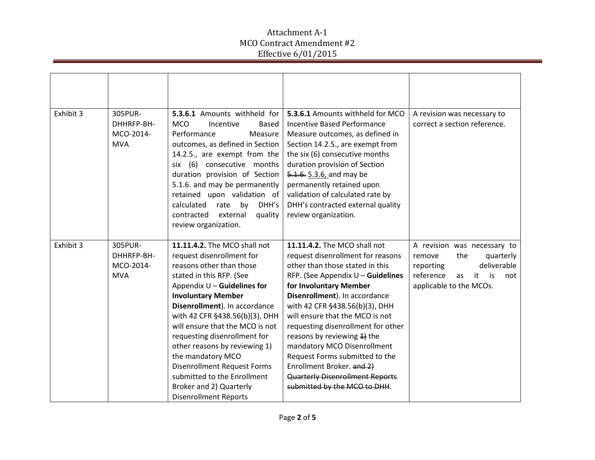| Exhibit 3 | 305PUR-<br>DHHRFP-BH-<br>MCO-2014-<br><b>MVA</b> | 5.3.6.1 Amounts withheld for<br><b>MCO</b><br>Incentive<br><b>Based</b><br>Performance<br>Measure<br>outcomes, as defined in Section<br>14.2.5., are exempt from the<br>six (6) consecutive months<br>duration provision of Section<br>5.1.6. and may be permanently<br>retained upon validation of<br>DHH's<br>calculated<br>rate<br>by<br>external<br>contracted<br>quality<br>review organization.                                                                                                       | 5.3.6.1 Amounts withheld for MCO<br><b>Incentive Based Performance</b><br>Measure outcomes, as defined in<br>Section 14.2.5., are exempt from<br>the six (6) consecutive months<br>duration provision of Section<br>5.1.6. 5.3.6, and may be<br>permanently retained upon<br>validation of calculated rate by<br>DHH's contracted external quality<br>review organization.                                                                                                                                               | A revision was necessary to<br>correct a section reference.                                                                                             |
|-----------|--------------------------------------------------|-------------------------------------------------------------------------------------------------------------------------------------------------------------------------------------------------------------------------------------------------------------------------------------------------------------------------------------------------------------------------------------------------------------------------------------------------------------------------------------------------------------|--------------------------------------------------------------------------------------------------------------------------------------------------------------------------------------------------------------------------------------------------------------------------------------------------------------------------------------------------------------------------------------------------------------------------------------------------------------------------------------------------------------------------|---------------------------------------------------------------------------------------------------------------------------------------------------------|
| Exhibit 3 | 305PUR-<br>DHHRFP-BH-<br>MCO-2014-<br><b>MVA</b> | 11.11.4.2. The MCO shall not<br>request disenrollment for<br>reasons other than those<br>stated in this RFP. (See<br>Appendix $U -$ Guidelines for<br><b>Involuntary Member</b><br>Disenrollment). In accordance<br>with 42 CFR §438.56(b)(3), DHH<br>will ensure that the MCO is not<br>requesting disenrollment for<br>other reasons by reviewing 1)<br>the mandatory MCO<br><b>Disenrollment Request Forms</b><br>submitted to the Enrollment<br>Broker and 2) Quarterly<br><b>Disenrollment Reports</b> | 11.11.4.2. The MCO shall not<br>request disenrollment for reasons<br>other than those stated in this<br>RFP. (See Appendix $U -$ Guidelines<br>for Involuntary Member<br>Disenrollment). In accordance<br>with 42 CFR §438.56(b)(3), DHH<br>will ensure that the MCO is not<br>requesting disenrollment for other<br>reasons by reviewing 4) the<br>mandatory MCO Disenrollment<br>Request Forms submitted to the<br>Enrollment Broker. and 2)<br><b>Quarterly Disenrollment Reports</b><br>submitted by the MCO to DHH. | A revision was necessary to<br>the<br>quarterly<br>remove<br>deliverable<br>reporting<br>reference<br>it.<br>is<br>as<br>not<br>applicable to the MCOs. |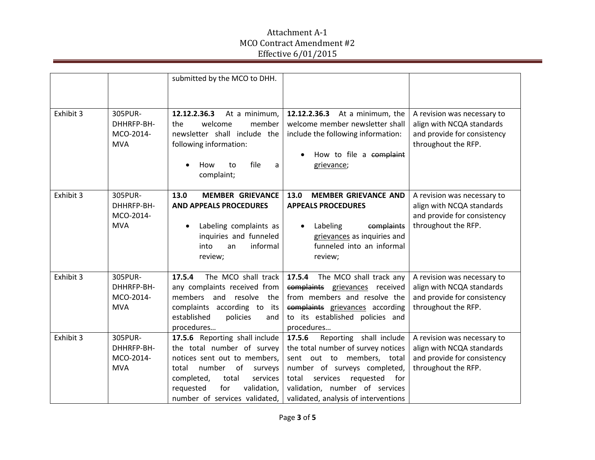|           |                                                  | submitted by the MCO to DHH.                                                                                                                                                                                                         |                                                                                                                                                                                                                                                          |                                                                                                                |
|-----------|--------------------------------------------------|--------------------------------------------------------------------------------------------------------------------------------------------------------------------------------------------------------------------------------------|----------------------------------------------------------------------------------------------------------------------------------------------------------------------------------------------------------------------------------------------------------|----------------------------------------------------------------------------------------------------------------|
| Exhibit 3 | 305PUR-<br>DHHRFP-BH-<br>MCO-2014-<br><b>MVA</b> | 12.12.2.36.3<br>At a minimum,<br>welcome<br>member<br>the<br>newsletter shall include the<br>following information:<br>file<br>a<br>How<br>to<br>$\bullet$<br>complaint;                                                             | 12.12.2.36.3<br>At a minimum, the<br>welcome member newsletter shall<br>include the following information:<br>How to file a complaint<br>grievance;                                                                                                      | A revision was necessary to<br>align with NCQA standards<br>and provide for consistency<br>throughout the RFP. |
| Exhibit 3 | 305PUR-<br>DHHRFP-BH-<br>MCO-2014-<br><b>MVA</b> | 13.0<br><b>MEMBER GRIEVANCE</b><br><b>AND APPEALS PROCEDURES</b><br>Labeling complaints as<br>$\bullet$<br>inquiries and funneled<br>informal<br>into<br>an<br>review;                                                               | <b>MEMBER GRIEVANCE AND</b><br>13.0<br><b>APPEALS PROCEDURES</b><br>Labeling<br>complaints<br>grievances as inquiries and<br>funneled into an informal<br>review;                                                                                        | A revision was necessary to<br>align with NCQA standards<br>and provide for consistency<br>throughout the RFP. |
| Exhibit 3 | 305PUR-<br>DHHRFP-BH-<br>MCO-2014-<br><b>MVA</b> | The MCO shall track<br>17.5.4<br>any complaints received from<br>members and resolve the<br>complaints according to its<br>established<br>policies<br>and<br>procedures                                                              | The MCO shall track any<br>17.5.4<br>complaints grievances received<br>from members and resolve the<br>complaints grievances according<br>to its established policies and<br>procedures                                                                  | A revision was necessary to<br>align with NCQA standards<br>and provide for consistency<br>throughout the RFP. |
| Exhibit 3 | 305PUR-<br>DHHRFP-BH-<br>MCO-2014-<br><b>MVA</b> | 17.5.6 Reporting shall include<br>the total number of survey<br>notices sent out to members,<br>number of<br>total<br>surveys<br>completed,<br>total<br>services<br>validation,<br>requested<br>for<br>number of services validated, | Reporting shall include<br>17.5.6<br>the total number of survey notices<br>sent out to members, total<br>number of surveys completed,<br>for<br>total<br>services<br>requested<br>validation, number of services<br>validated, analysis of interventions | A revision was necessary to<br>align with NCQA standards<br>and provide for consistency<br>throughout the RFP. |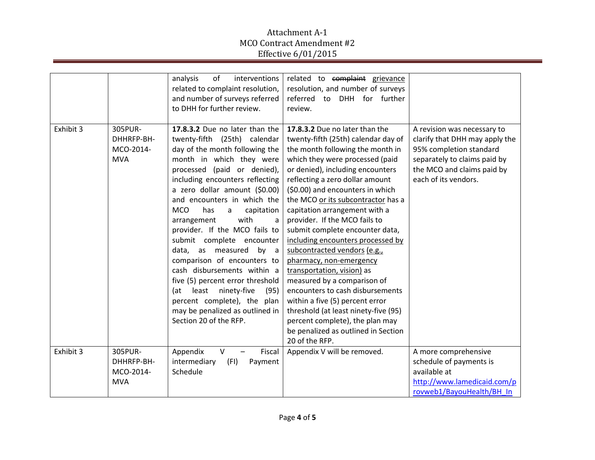|           |                                                  | analysis<br>of<br>interventions<br>related to complaint resolution,<br>and number of surveys referred<br>to DHH for further review.                                                                                                                                                                                                                                                                                                                                                                                                                                                                                                                                             | related to complaint grievance<br>resolution, and number of surveys<br>referred to DHH for further<br>review.                                                                                                                                                                                                                                                                                                                                                                                                                                                                                                                                                                                                                                                              |                                                                                                                                                                                |
|-----------|--------------------------------------------------|---------------------------------------------------------------------------------------------------------------------------------------------------------------------------------------------------------------------------------------------------------------------------------------------------------------------------------------------------------------------------------------------------------------------------------------------------------------------------------------------------------------------------------------------------------------------------------------------------------------------------------------------------------------------------------|----------------------------------------------------------------------------------------------------------------------------------------------------------------------------------------------------------------------------------------------------------------------------------------------------------------------------------------------------------------------------------------------------------------------------------------------------------------------------------------------------------------------------------------------------------------------------------------------------------------------------------------------------------------------------------------------------------------------------------------------------------------------------|--------------------------------------------------------------------------------------------------------------------------------------------------------------------------------|
| Exhibit 3 | 305PUR-<br>DHHRFP-BH-<br>MCO-2014-<br><b>MVA</b> | 17.8.3.2 Due no later than the<br>twenty-fifth (25th) calendar<br>day of the month following the<br>month in which they were<br>processed (paid or denied),<br>including encounters reflecting<br>a zero dollar amount (\$0.00)<br>and encounters in which the<br><b>MCO</b><br>has<br>capitation<br>a<br>with<br>arrangement<br>a<br>provider. If the MCO fails to<br>submit complete encounter<br>data, as measured<br>by<br>$\overline{a}$<br>comparison of encounters to<br>cash disbursements within a<br>five (5) percent error threshold<br>(at<br>least ninety-five<br>(95)<br>percent complete), the plan<br>may be penalized as outlined in<br>Section 20 of the RFP. | 17.8.3.2 Due no later than the<br>twenty-fifth (25th) calendar day of<br>the month following the month in<br>which they were processed (paid<br>or denied), including encounters<br>reflecting a zero dollar amount<br>(\$0.00) and encounters in which<br>the MCO or its subcontractor has a<br>capitation arrangement with a<br>provider. If the MCO fails to<br>submit complete encounter data,<br>including encounters processed by<br>subcontracted vendors (e.g.,<br>pharmacy, non-emergency<br>transportation, vision) as<br>measured by a comparison of<br>encounters to cash disbursements<br>within a five (5) percent error<br>threshold (at least ninety-five (95)<br>percent complete), the plan may<br>be penalized as outlined in Section<br>20 of the RFP. | A revision was necessary to<br>clarify that DHH may apply the<br>95% completion standard<br>separately to claims paid by<br>the MCO and claims paid by<br>each of its vendors. |
| Exhibit 3 | 305PUR-<br>DHHRFP-BH-<br>MCO-2014-<br><b>MVA</b> | Appendix<br>$\vee$<br>Fiscal<br>$\overline{\phantom{0}}$<br>(FI)<br>intermediary<br>Payment<br>Schedule                                                                                                                                                                                                                                                                                                                                                                                                                                                                                                                                                                         | Appendix V will be removed.                                                                                                                                                                                                                                                                                                                                                                                                                                                                                                                                                                                                                                                                                                                                                | A more comprehensive<br>schedule of payments is<br>available at<br>http://www.lamedicaid.com/p<br>rovweb1/BayouHealth/BH In                                                    |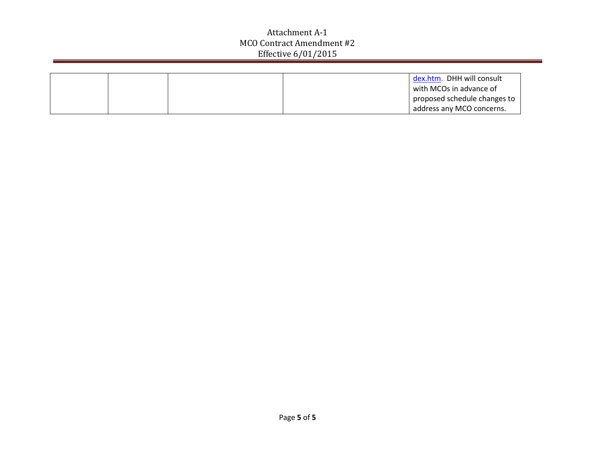|  |  | dex.htm. DHH will consult    |
|--|--|------------------------------|
|  |  | with MCOs in advance of      |
|  |  | proposed schedule changes to |
|  |  | address any MCO concerns.    |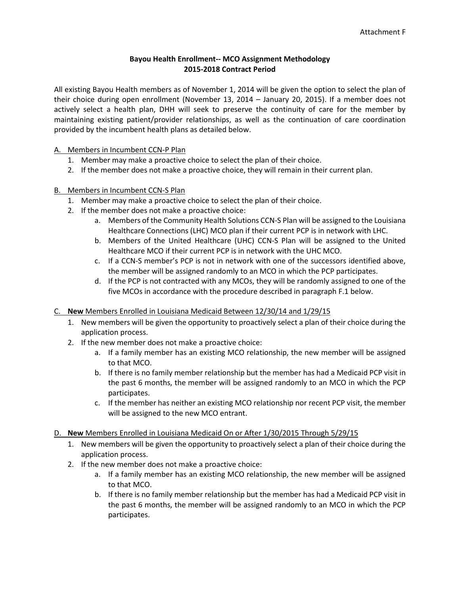#### **Bayou Health Enrollment-- MCO Assignment Methodology 2015-2018 Contract Period**

All existing Bayou Health members as of November 1, 2014 will be given the option to select the plan of their choice during open enrollment (November 13, 2014 – January 20, 2015). If a member does not actively select a health plan, DHH will seek to preserve the continuity of care for the member by maintaining existing patient/provider relationships, as well as the continuation of care coordination provided by the incumbent health plans as detailed below.

A. Members in Incumbent CCN-P Plan

- 1. Member may make a proactive choice to select the plan of their choice.
- 2. If the member does not make a proactive choice, they will remain in their current plan.
- B. Members in Incumbent CCN-S Plan
	- 1. Member may make a proactive choice to select the plan of their choice.
	- 2. If the member does not make a proactive choice:
		- a. Members of the Community Health Solutions CCN-S Plan will be assigned to the Louisiana Healthcare Connections (LHC) MCO plan if their current PCP is in network with LHC.
		- b. Members of the United Healthcare (UHC) CCN-S Plan will be assigned to the United Healthcare MCO if their current PCP is in network with the UHC MCO.
		- c. If a CCN-S member's PCP is not in network with one of the successors identified above, the member will be assigned randomly to an MCO in which the PCP participates.
		- d. If the PCP is not contracted with any MCOs, they will be randomly assigned to one of the five MCOs in accordance with the procedure described in paragraph F.1 below.

#### C. **New** Members Enrolled in Louisiana Medicaid Between 12/30/14 and 1/29/15

- 1. New members will be given the opportunity to proactively select a plan of their choice during the application process.
- 2. If the new member does not make a proactive choice:
	- a. If a family member has an existing MCO relationship, the new member will be assigned to that MCO.
	- b. If there is no family member relationship but the member has had a Medicaid PCP visit in the past 6 months, the member will be assigned randomly to an MCO in which the PCP participates.
	- c. If the member has neither an existing MCO relationship nor recent PCP visit, the member will be assigned to the new MCO entrant.
- D. **New** Members Enrolled in Louisiana Medicaid On or After 1/30/2015 Through 5/29/15
	- 1. New members will be given the opportunity to proactively select a plan of their choice during the application process.
	- 2. If the new member does not make a proactive choice:
		- a. If a family member has an existing MCO relationship, the new member will be assigned to that MCO.
		- b. If there is no family member relationship but the member has had a Medicaid PCP visit in the past 6 months, the member will be assigned randomly to an MCO in which the PCP participates.